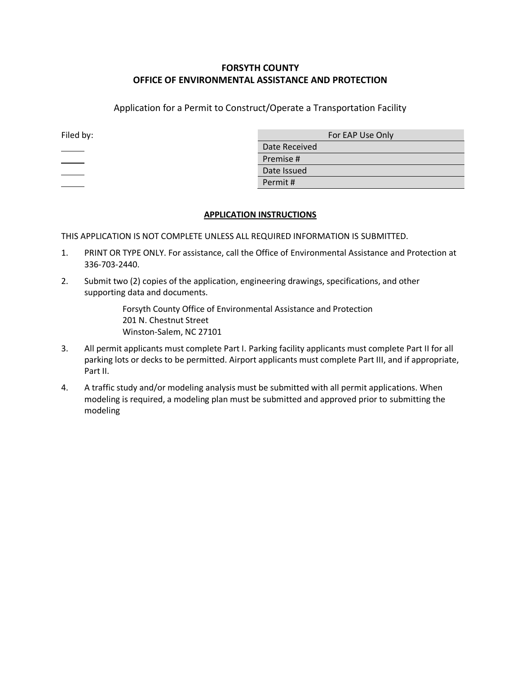## **FORSYTH COUNTY OFFICE OF ENVIRONMENTAL ASSISTANCE AND PROTECTION**

Application for a Permit to Construct/Operate a Transportation Facility

| Filed by: | For EAP Use Only |  |
|-----------|------------------|--|
|           | Date Received    |  |
|           | Premise #        |  |
|           | Date Issued      |  |
|           | Permit#          |  |

## **APPLICATION INSTRUCTIONS**

THIS APPLICATION IS NOT COMPLETE UNLESS ALL REQUIRED INFORMATION IS SUBMITTED.

- 1. PRINT OR TYPE ONLY. For assistance, call the Office of Environmental Assistance and Protection at 336-703-2440.
- 2. Submit two (2) copies of the application, engineering drawings, specifications, and other supporting data and documents.

Forsyth County Office of Environmental Assistance and Protection 201 N. Chestnut Street Winston-Salem, NC 27101

- 3. All permit applicants must complete Part I. Parking facility applicants must complete Part II for all parking lots or decks to be permitted. Airport applicants must complete Part III, and if appropriate, Part II.
- 4. A traffic study and/or modeling analysis must be submitted with all permit applications. When modeling is required, a modeling plan must be submitted and approved prior to submitting the modeling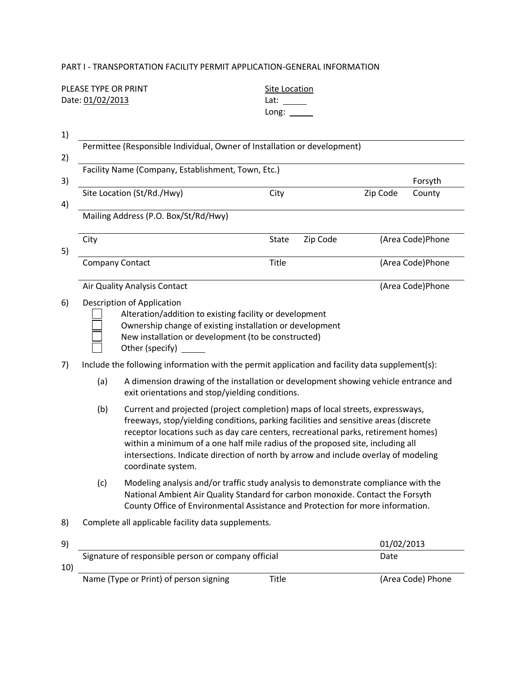## PART I - TRANSPORTATION FACILITY PERMIT APPLICATION-GENERAL INFORMATION

|                                        | PLEASE TYPE OR PRINT<br>Date: 01/02/2013                                                                                                                                                                                                                                                                                                                                                                                                                           |                                                                                                                                                                                                                             | <b>Site Location</b><br>Lat: and the set of the set of the set of the set of the set of the set of the set of the set of the set of the set of the set of the set of the set of the set of the set of the set of the set of the set of the set of the<br>Long: |          |          |                                                                                             |  |
|----------------------------------------|--------------------------------------------------------------------------------------------------------------------------------------------------------------------------------------------------------------------------------------------------------------------------------------------------------------------------------------------------------------------------------------------------------------------------------------------------------------------|-----------------------------------------------------------------------------------------------------------------------------------------------------------------------------------------------------------------------------|----------------------------------------------------------------------------------------------------------------------------------------------------------------------------------------------------------------------------------------------------------------|----------|----------|---------------------------------------------------------------------------------------------|--|
| 1)                                     |                                                                                                                                                                                                                                                                                                                                                                                                                                                                    | Permittee (Responsible Individual, Owner of Installation or development)                                                                                                                                                    |                                                                                                                                                                                                                                                                |          |          |                                                                                             |  |
|                                        |                                                                                                                                                                                                                                                                                                                                                                                                                                                                    | Facility Name (Company, Establishment, Town, Etc.)                                                                                                                                                                          |                                                                                                                                                                                                                                                                |          |          |                                                                                             |  |
| 3)                                     |                                                                                                                                                                                                                                                                                                                                                                                                                                                                    |                                                                                                                                                                                                                             |                                                                                                                                                                                                                                                                |          |          | Forsyth<br>County<br>(Area Code)Phone<br>(Area Code)Phone<br>(Area Code)Phone<br>01/02/2013 |  |
|                                        |                                                                                                                                                                                                                                                                                                                                                                                                                                                                    | Site Location (St/Rd./Hwy)                                                                                                                                                                                                  | City                                                                                                                                                                                                                                                           |          | Zip Code |                                                                                             |  |
| 2)<br>4)<br>5)<br>6)<br>7)<br>8)<br>9) |                                                                                                                                                                                                                                                                                                                                                                                                                                                                    | Mailing Address (P.O. Box/St/Rd/Hwy)                                                                                                                                                                                        |                                                                                                                                                                                                                                                                |          |          |                                                                                             |  |
|                                        | City                                                                                                                                                                                                                                                                                                                                                                                                                                                               |                                                                                                                                                                                                                             | <b>State</b>                                                                                                                                                                                                                                                   | Zip Code |          |                                                                                             |  |
|                                        |                                                                                                                                                                                                                                                                                                                                                                                                                                                                    | <b>Company Contact</b>                                                                                                                                                                                                      | Title                                                                                                                                                                                                                                                          |          |          |                                                                                             |  |
|                                        |                                                                                                                                                                                                                                                                                                                                                                                                                                                                    | Air Quality Analysis Contact                                                                                                                                                                                                |                                                                                                                                                                                                                                                                |          |          |                                                                                             |  |
|                                        |                                                                                                                                                                                                                                                                                                                                                                                                                                                                    | Description of Application<br>Alteration/addition to existing facility or development<br>Ownership change of existing installation or development<br>New installation or development (to be constructed)<br>Other (specify) |                                                                                                                                                                                                                                                                |          |          |                                                                                             |  |
|                                        | Include the following information with the permit application and facility data supplement(s):                                                                                                                                                                                                                                                                                                                                                                     |                                                                                                                                                                                                                             |                                                                                                                                                                                                                                                                |          |          |                                                                                             |  |
|                                        | (a)<br>A dimension drawing of the installation or development showing vehicle entrance and<br>exit orientations and stop/yielding conditions.                                                                                                                                                                                                                                                                                                                      |                                                                                                                                                                                                                             |                                                                                                                                                                                                                                                                |          |          |                                                                                             |  |
|                                        | (b)<br>Current and projected (project completion) maps of local streets, expressways,<br>freeways, stop/yielding conditions, parking facilities and sensitive areas (discrete<br>receptor locations such as day care centers, recreational parks, retirement homes)<br>within a minimum of a one half mile radius of the proposed site, including all<br>intersections. Indicate direction of north by arrow and include overlay of modeling<br>coordinate system. |                                                                                                                                                                                                                             |                                                                                                                                                                                                                                                                |          |          |                                                                                             |  |
|                                        | Modeling analysis and/or traffic study analysis to demonstrate compliance with the<br>(c)<br>National Ambient Air Quality Standard for carbon monoxide. Contact the Forsyth<br>County Office of Environmental Assistance and Protection for more information.                                                                                                                                                                                                      |                                                                                                                                                                                                                             |                                                                                                                                                                                                                                                                |          |          |                                                                                             |  |
|                                        |                                                                                                                                                                                                                                                                                                                                                                                                                                                                    | Complete all applicable facility data supplements.                                                                                                                                                                          |                                                                                                                                                                                                                                                                |          |          |                                                                                             |  |
|                                        |                                                                                                                                                                                                                                                                                                                                                                                                                                                                    |                                                                                                                                                                                                                             |                                                                                                                                                                                                                                                                |          |          |                                                                                             |  |
|                                        |                                                                                                                                                                                                                                                                                                                                                                                                                                                                    | Signature of responsible person or company official                                                                                                                                                                         |                                                                                                                                                                                                                                                                |          | Date     |                                                                                             |  |

10)

Name (Type or Print) of person signing Title (Area Code) Phone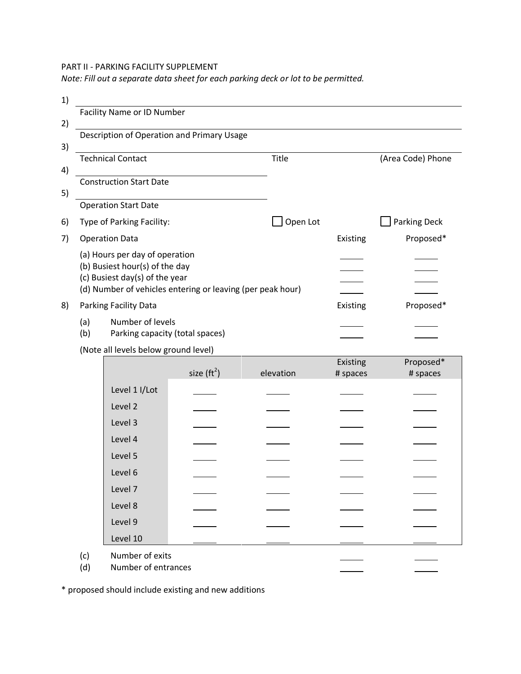PART II - PARKING FACILITY SUPPLEMENT

*Note: Fill out a separate data sheet for each parking deck or lot to be permitted.* 

| 1) |                                |                                                            |          |          |                   |
|----|--------------------------------|------------------------------------------------------------|----------|----------|-------------------|
|    |                                | <b>Facility Name or ID Number</b>                          |          |          |                   |
| 2) |                                |                                                            |          |          |                   |
|    |                                | Description of Operation and Primary Usage                 |          |          |                   |
| 3) |                                |                                                            |          |          |                   |
|    |                                | <b>Technical Contact</b>                                   | Title    |          | (Area Code) Phone |
| 4) |                                |                                                            |          |          |                   |
|    |                                | <b>Construction Start Date</b>                             |          |          |                   |
| 5) |                                |                                                            |          |          |                   |
|    |                                | <b>Operation Start Date</b>                                |          |          |                   |
| 6) |                                | Type of Parking Facility:                                  | Open Lot |          | Parking Deck      |
| 7) |                                | <b>Operation Data</b>                                      |          | Existing | Proposed*         |
|    |                                | (a) Hours per day of operation                             |          |          |                   |
|    |                                | (b) Busiest hour(s) of the day                             |          |          |                   |
|    | (c) Busiest day(s) of the year |                                                            |          |          |                   |
|    |                                | (d) Number of vehicles entering or leaving (per peak hour) |          |          |                   |
| 8) |                                | Parking Facility Data                                      |          | Existing | Proposed*         |
|    | (a)                            | Number of levels                                           |          |          |                   |
|    | (b)                            | Parking capacity (total spaces)                            |          |          |                   |
|    |                                | (Note all loyals bolow ground loyal)                       |          |          |                   |

(Note all levels below ground level)

|               |                                                         | Existing | Proposed* |
|---------------|---------------------------------------------------------|----------|-----------|
|               | elevation                                               | # spaces | # spaces  |
| Level 1 I/Lot |                                                         |          |           |
| Level 2       |                                                         |          |           |
| Level 3       |                                                         |          |           |
| Level 4       |                                                         |          |           |
| Level 5       |                                                         |          |           |
| Level 6       |                                                         |          |           |
| Level 7       |                                                         |          |           |
| Level 8       |                                                         |          |           |
| Level 9       |                                                         |          |           |
| Level 10      |                                                         |          |           |
|               |                                                         |          |           |
|               |                                                         |          |           |
|               | size $(rt^2)$<br>Number of exits<br>Number of entrances |          |           |

\* proposed should include existing and new additions

(c)<br>(d)